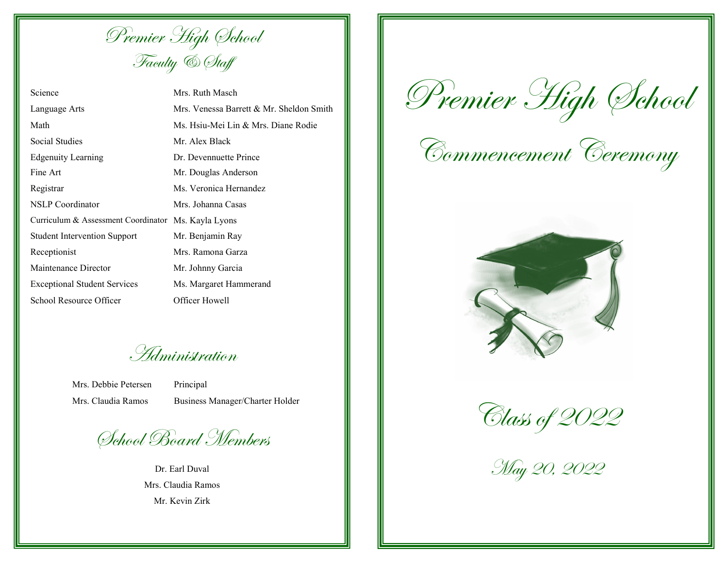Premier High School Faculty & Staff

| Science                                     | Mrs. Ru  |
|---------------------------------------------|----------|
| Language Arts                               | Mrs. Ve  |
| Math                                        | Ms. Hsi  |
| Social Studies                              | Mr. Ale  |
| <b>Edgenuity Learning</b>                   | Dr. Dev  |
| Fine Art                                    | Mr. Dou  |
| Registrar                                   | Ms. Vei  |
| <b>NSLP</b> Coordinator                     | Mrs. Jol |
| Curriculum & Assessment Coordinator Ms. Kay |          |
| <b>Student Intervention Support</b>         | Mr. Ber  |
| Receptionist                                | Mrs. Ra  |
| Maintenance Director                        | Mr. Joh  |
| <b>Exceptional Student Services</b>         | Ms. Ma   |
| School Resource Officer                     | Officer  |
|                                             |          |

th Masch  $P$ enessa Barrett & Mr. Sheldon Smith u-Mei Lin & Mrs. Diane Rodie x Black ennuette Prince aglas Anderson onica Hernandez hanna Casas yla Lyons hiamin Ray mona Garza mny Garcia rgaret Hammerand Howell

Administration

Mrs. Debbie Petersen Principal

Mrs. Claudia Ramos Business Manager/Charter Holder

School Board Members

Dr. Earl Duval Mrs. Claudia Ramos Mr. Kevin Zirk

Premier High School

Commencement Ceremony





May 20, 2022